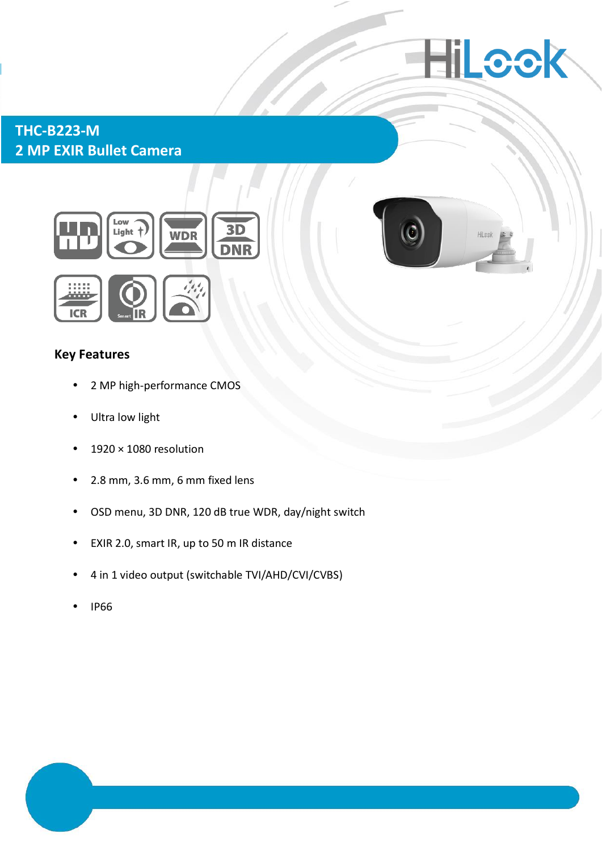

## **THC-B223-M 2 MP EXIR Bullet Camera**



## **Key Features**

- 2 MP high-performance CMOS
- Ultra low light
- $\cdot$  1920 × 1080 resolution
- 2.8 mm, 3.6 mm, 6 mm fixed lens
- OSD menu, 3D DNR, 120 dB true WDR, day/night switch
- EXIR 2.0, smart IR, up to 50 m IR distance
- 4 in 1 video output (switchable TVI/AHD/CVI/CVBS)
- IP66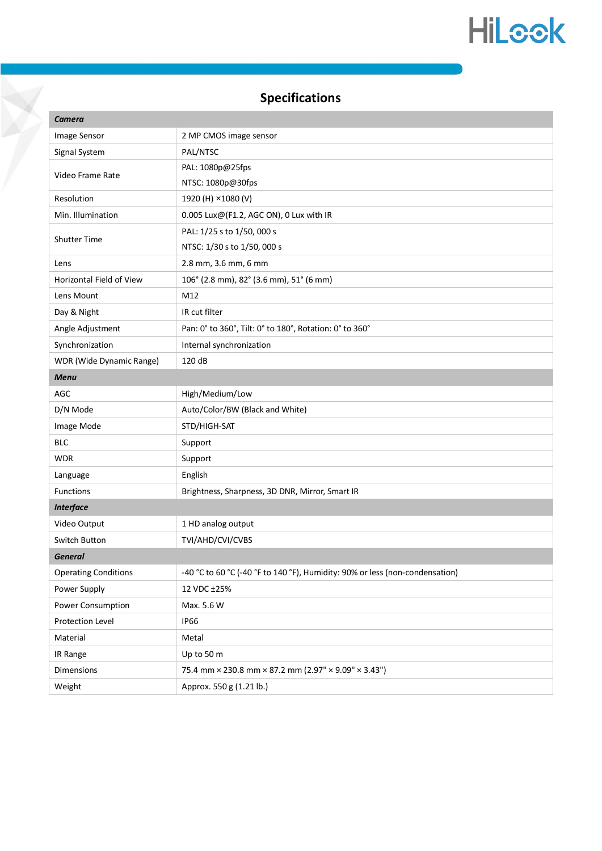# HiLook

## **Specifications**

| Camera                      |                                                                              |
|-----------------------------|------------------------------------------------------------------------------|
| Image Sensor                | 2 MP CMOS image sensor                                                       |
| Signal System               | PAL/NTSC                                                                     |
| Video Frame Rate            | PAL: 1080p@25fps                                                             |
|                             | NTSC: 1080p@30fps                                                            |
| Resolution                  | 1920 (H) ×1080 (V)                                                           |
| Min. Illumination           | 0.005 Lux@(F1.2, AGC ON), 0 Lux with IR                                      |
| <b>Shutter Time</b>         | PAL: 1/25 s to 1/50, 000 s                                                   |
|                             | NTSC: 1/30 s to 1/50, 000 s                                                  |
| Lens                        | 2.8 mm, 3.6 mm, 6 mm                                                         |
| Horizontal Field of View    | 106° (2.8 mm), 82° (3.6 mm), 51° (6 mm)                                      |
| Lens Mount                  | M12                                                                          |
| Day & Night                 | IR cut filter                                                                |
| Angle Adjustment            | Pan: 0° to 360°, Tilt: 0° to 180°, Rotation: 0° to 360°                      |
| Synchronization             | Internal synchronization                                                     |
| WDR (Wide Dynamic Range)    | 120 dB                                                                       |
| <b>Menu</b>                 |                                                                              |
| AGC                         | High/Medium/Low                                                              |
| D/N Mode                    | Auto/Color/BW (Black and White)                                              |
| Image Mode                  | STD/HIGH-SAT                                                                 |
| <b>BLC</b>                  | Support                                                                      |
| <b>WDR</b>                  | Support                                                                      |
| Language                    | English                                                                      |
| Functions                   | Brightness, Sharpness, 3D DNR, Mirror, Smart IR                              |
| <b>Interface</b>            |                                                                              |
| Video Output                | 1 HD analog output                                                           |
| Switch Button               | TVI/AHD/CVI/CVBS                                                             |
| <b>General</b>              |                                                                              |
| <b>Operating Conditions</b> | -40 °C to 60 °C (-40 °F to 140 °F), Humidity: 90% or less (non-condensation) |
| Power Supply                | 12 VDC ±25%                                                                  |
| Power Consumption           | Max. 5.6 W                                                                   |
| Protection Level            | <b>IP66</b>                                                                  |
| Material                    | Metal                                                                        |
| IR Range                    | Up to 50 m                                                                   |
| Dimensions                  | 75.4 mm × 230.8 mm × 87.2 mm (2.97" × 9.09" × 3.43")                         |
| Weight                      | Approx. 550 g (1.21 lb.)                                                     |